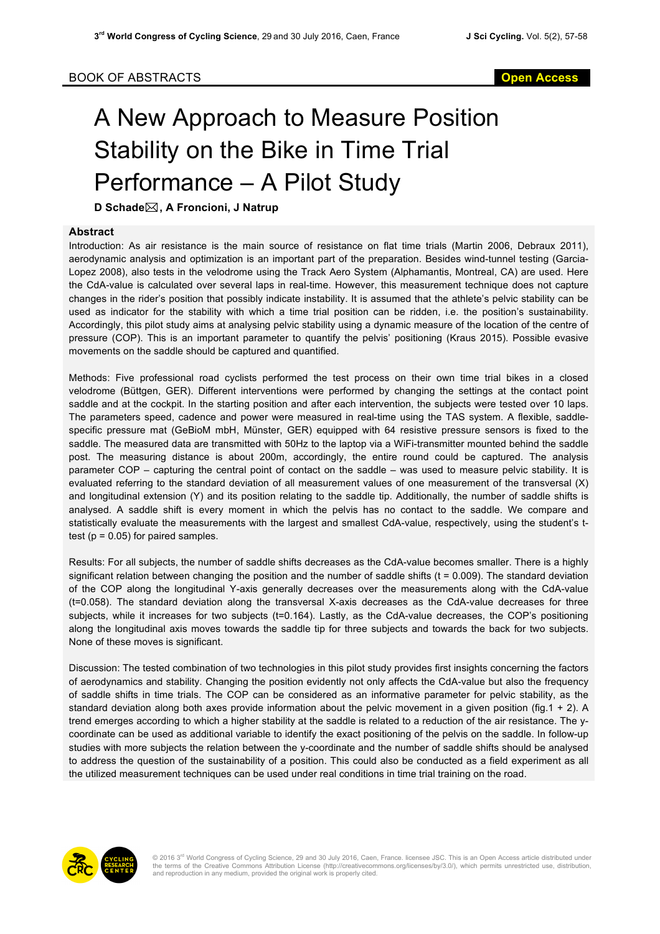## A New Approach to Measure Position Stability on the Bike in Time Trial Performance – A Pilot Study

**D Schade**\***, A Froncioni, J Natrup**

## **Abstract**

Introduction: As air resistance is the main source of resistance on flat time trials (Martin 2006, Debraux 2011), aerodynamic analysis and optimization is an important part of the preparation. Besides wind-tunnel testing (Garcia-Lopez 2008), also tests in the velodrome using the Track Aero System (Alphamantis, Montreal, CA) are used. Here the CdA-value is calculated over several laps in real-time. However, this measurement technique does not capture changes in the rider's position that possibly indicate instability. It is assumed that the athlete's pelvic stability can be used as indicator for the stability with which a time trial position can be ridden, i.e. the position's sustainability. Accordingly, this pilot study aims at analysing pelvic stability using a dynamic measure of the location of the centre of pressure (COP). This is an important parameter to quantify the pelvis' positioning (Kraus 2015). Possible evasive movements on the saddle should be captured and quantified.

Methods: Five professional road cyclists performed the test process on their own time trial bikes in a closed velodrome (Büttgen, GER). Different interventions were performed by changing the settings at the contact point saddle and at the cockpit. In the starting position and after each intervention, the subjects were tested over 10 laps. The parameters speed, cadence and power were measured in real-time using the TAS system. A flexible, saddlespecific pressure mat (GeBioM mbH, Münster, GER) equipped with 64 resistive pressure sensors is fixed to the saddle. The measured data are transmitted with 50Hz to the laptop via a WiFi-transmitter mounted behind the saddle post. The measuring distance is about 200m, accordingly, the entire round could be captured. The analysis parameter COP – capturing the central point of contact on the saddle – was used to measure pelvic stability. It is evaluated referring to the standard deviation of all measurement values of one measurement of the transversal (X) and longitudinal extension (Y) and its position relating to the saddle tip. Additionally, the number of saddle shifts is analysed. A saddle shift is every moment in which the pelvis has no contact to the saddle. We compare and statistically evaluate the measurements with the largest and smallest CdA-value, respectively, using the student's ttest ( $p = 0.05$ ) for paired samples.

Results: For all subjects, the number of saddle shifts decreases as the CdA-value becomes smaller. There is a highly significant relation between changing the position and the number of saddle shifts  $(t = 0.009)$ . The standard deviation of the COP along the longitudinal Y-axis generally decreases over the measurements along with the CdA-value (t=0.058). The standard deviation along the transversal X-axis decreases as the CdA-value decreases for three subjects, while it increases for two subjects (t=0.164). Lastly, as the CdA-value decreases, the COP's positioning along the longitudinal axis moves towards the saddle tip for three subjects and towards the back for two subjects. None of these moves is significant.

Discussion: The tested combination of two technologies in this pilot study provides first insights concerning the factors of aerodynamics and stability. Changing the position evidently not only affects the CdA-value but also the frequency of saddle shifts in time trials. The COP can be considered as an informative parameter for pelvic stability, as the standard deviation along both axes provide information about the pelvic movement in a given position (fig.1 + 2). A trend emerges according to which a higher stability at the saddle is related to a reduction of the air resistance. The ycoordinate can be used as additional variable to identify the exact positioning of the pelvis on the saddle. In follow-up studies with more subjects the relation between the y-coordinate and the number of saddle shifts should be analysed to address the question of the sustainability of a position. This could also be conducted as a field experiment as all the utilized measurement techniques can be used under real conditions in time trial training on the road.



© 2016 3<sup>rd</sup> World Congress of Cycling Science, 29 and 30 July 2016, Caen, France. licensee JSC. This is an Open Access article distributed under<br>the terms of the Creative Commons Attribution License (http://creativecommon and reproduction in any medium, provided the original work is properly cited.